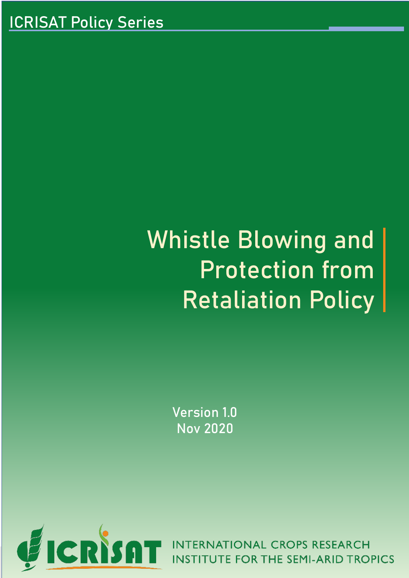# Whistle Blowing and Protection from Retaliation Policy

Version 1.0 Nov 2020



The Institute reserves the right to amend, suspend or reserves the Institute has made best efforts to define d of this policy, there may be lack of clarity in the matters are not addressed or the procedures. Such difficulties or lack of clarity in the procedures. Such difficulties or lack of clarity will be resolved in the procedur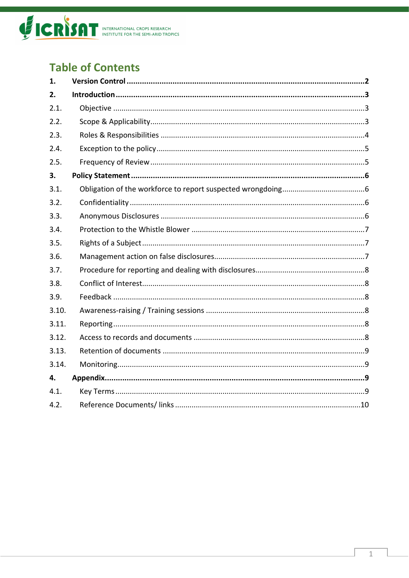

# **Table of Contents**

| 1.    |  |
|-------|--|
| 2.    |  |
| 2.1.  |  |
| 2.2.  |  |
| 2.3.  |  |
| 2.4.  |  |
| 2.5.  |  |
| 3.    |  |
| 3.1.  |  |
| 3.2.  |  |
| 3.3.  |  |
| 3.4.  |  |
| 3.5.  |  |
| 3.6.  |  |
| 3.7.  |  |
| 3.8.  |  |
| 3.9.  |  |
| 3.10. |  |
| 3.11. |  |
| 3.12. |  |
| 3.13. |  |
| 3.14. |  |
| 4.    |  |
| 4.1.  |  |
| 4.2.  |  |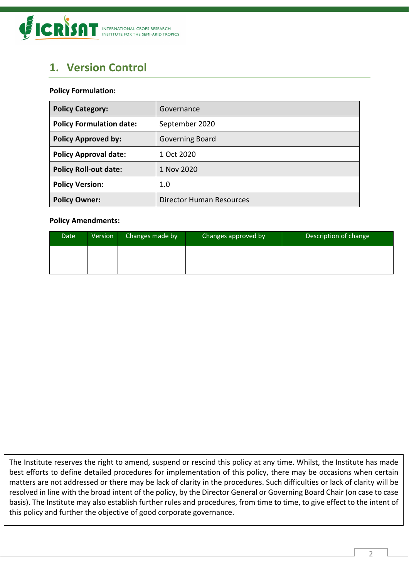

# <span id="page-2-0"></span>**1. Version Control**

#### **Policy Formulation:**

| <b>Policy Category:</b>         | Governance               |
|---------------------------------|--------------------------|
| <b>Policy Formulation date:</b> | September 2020           |
| <b>Policy Approved by:</b>      | Governing Board          |
| <b>Policy Approval date:</b>    | 1 Oct 2020               |
| <b>Policy Roll-out date:</b>    | 1 Nov 2020               |
| <b>Policy Version:</b>          | 1.0                      |
| <b>Policy Owner:</b>            | Director Human Resources |

#### **Policy Amendments:**

| Date | Version <sup>1</sup> | Changes made by | Changes approved by | Description of change |
|------|----------------------|-----------------|---------------------|-----------------------|
|      |                      |                 |                     |                       |
|      |                      |                 |                     |                       |

The Institute reserves the right to amend, suspend or rescind this policy at any time. Whilst, the Institute has made best efforts to define detailed procedures for implementation of this policy, there may be occasions when certain matters are not addressed or there may be lack of clarity in the procedures. Such difficulties or lack of clarity will be resolved in line with the broad intent of the policy, by the Director General or Governing Board Chair (on case to case basis). The Institute may also establish further rules and procedures, from time to time, to give effect to the intent of this policy and further the objective of good corporate governance.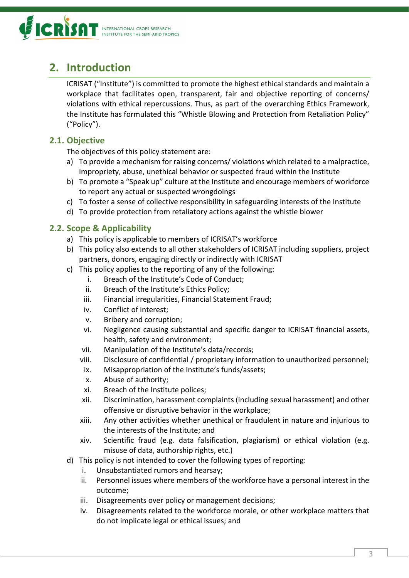

# <span id="page-3-0"></span>**2. Introduction**

ICRISAT ("Institute") is committed to promote the highest ethical standards and maintain a workplace that facilitates open, transparent, fair and objective reporting of concerns/ violations with ethical repercussions. Thus, as part of the overarching Ethics Framework, the Institute has formulated this "Whistle Blowing and Protection from Retaliation Policy" ("Policy").

## <span id="page-3-1"></span>**2.1. Objective**

The objectives of this policy statement are:

- a) To provide a mechanism for raising concerns/ violations which related to a malpractice, impropriety, abuse, unethical behavior or suspected fraud within the Institute
- b) To promote a "Speak up" culture at the Institute and encourage members of workforce to report any actual or suspected wrongdoings
- c) To foster a sense of collective responsibility in safeguarding interests of the Institute
- d) To provide protection from retaliatory actions against the whistle blower

## <span id="page-3-2"></span>**2.2. Scope & Applicability**

- a) This policy is applicable to members of ICRISAT's workforce
- b) This policy also extends to all other stakeholders of ICRISAT including suppliers, project partners, donors, engaging directly or indirectly with ICRISAT
- c) This policy applies to the reporting of any of the following:
	- i. Breach of the Institute's Code of Conduct;
	- ii. Breach of the Institute's Ethics Policy;
	- iii. Financial irregularities, Financial Statement Fraud;
	- iv. Conflict of interest;
	- v. Bribery and corruption;
	- vi. Negligence causing substantial and specific danger to ICRISAT financial assets, health, safety and environment;
	- vii. Manipulation of the Institute's data/records;
	- viii. Disclosure of confidential / proprietary information to unauthorized personnel;
	- ix. Misappropriation of the Institute's funds/assets;
	- x. Abuse of authority;
	- xi. Breach of the Institute polices;
	- xii. Discrimination, harassment complaints (including sexual harassment) and other offensive or disruptive behavior in the workplace;
	- xiii. Any other activities whether unethical or fraudulent in nature and injurious to the interests of the Institute; and
	- xiv. Scientific fraud (e.g. data falsification, plagiarism) or ethical violation (e.g. misuse of data, authorship rights, etc.)
- d) This policy is not intended to cover the following types of reporting:
	- i. Unsubstantiated rumors and hearsay;
	- ii. Personnel issues where members of the workforce have a personal interest in the outcome;
	- iii. Disagreements over policy or management decisions;
	- iv. Disagreements related to the workforce morale, or other workplace matters that do not implicate legal or ethical issues; and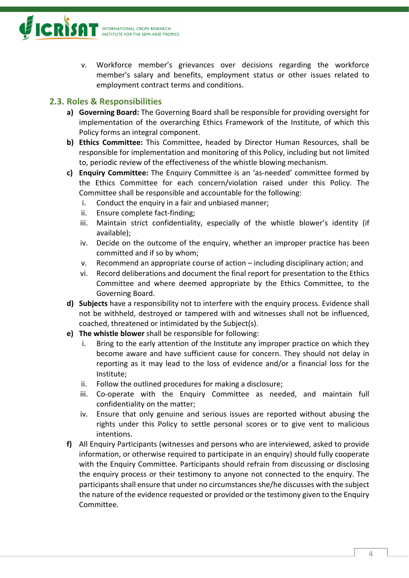

v. Workforce member's grievances over decisions regarding the workforce member's salary and benefits, employment status or other issues related to employment contract terms and conditions.

## <span id="page-4-0"></span>**2.3. Roles & Responsibilities**

- **a) Governing Board:** The Governing Board shall be responsible for providing oversight for implementation of the overarching Ethics Framework of the Institute, of which this Policy forms an integral component.
- **b) Ethics Committee:** This Committee, headed by Director Human Resources, shall be responsible for implementation and monitoring of this Policy, including but not limited to, periodic review of the effectiveness of the whistle blowing mechanism.
- **c) Enquiry Committee:** The Enquiry Committee is an 'as-needed' committee formed by the Ethics Committee for each concern/violation raised under this Policy. The Committee shall be responsible and accountable for the following:
	- i. Conduct the enquiry in a fair and unbiased manner;
	- ii. Ensure complete fact-finding;
	- iii. Maintain strict confidentiality, especially of the whistle blower's identity (if available);
	- iv. Decide on the outcome of the enquiry, whether an improper practice has been committed and if so by whom;
	- v. Recommend an appropriate course of action including disciplinary action; and
	- vi. Record deliberations and document the final report for presentation to the Ethics Committee and where deemed appropriate by the Ethics Committee, to the Governing Board.
- **d) Subjects** have a responsibility not to interfere with the enquiry process. Evidence shall not be withheld, destroyed or tampered with and witnesses shall not be influenced, coached, threatened or intimidated by the Subject(s).
- **e) The whistle blower** shall be responsible for following:
	- i. Bring to the early attention of the Institute any improper practice on which they become aware and have sufficient cause for concern. They should not delay in reporting as it may lead to the loss of evidence and/or a financial loss for the Institute;
	- ii. Follow the outlined procedures for making a disclosure;
	- iii. Co-operate with the Enquiry Committee as needed, and maintain full confidentiality on the matter;
	- iv. Ensure that only genuine and serious issues are reported without abusing the rights under this Policy to settle personal scores or to give vent to malicious intentions.
- **f)** All Enquiry Participants (witnesses and persons who are interviewed, asked to provide information, or otherwise required to participate in an enquiry) should fully cooperate with the Enquiry Committee. Participants should refrain from discussing or disclosing the enquiry process or their testimony to anyone not connected to the enquiry. The participants shall ensure that under no circumstances she/he discusses with the subject the nature of the evidence requested or provided or the testimony given to the Enquiry Committee.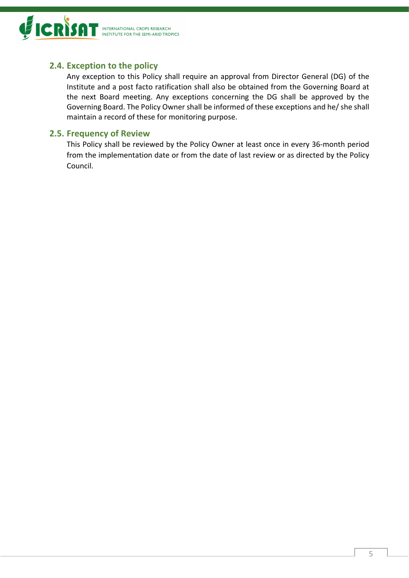

## <span id="page-5-0"></span>**2.4. Exception to the policy**

Any exception to this Policy shall require an approval from Director General (DG) of the Institute and a post facto ratification shall also be obtained from the Governing Board at the next Board meeting. Any exceptions concerning the DG shall be approved by the Governing Board. The Policy Owner shall be informed of these exceptions and he/ she shall maintain a record of these for monitoring purpose.

#### <span id="page-5-1"></span>**2.5. Frequency of Review**

This Policy shall be reviewed by the Policy Owner at least once in every 36-month period from the implementation date or from the date of last review or as directed by the Policy Council.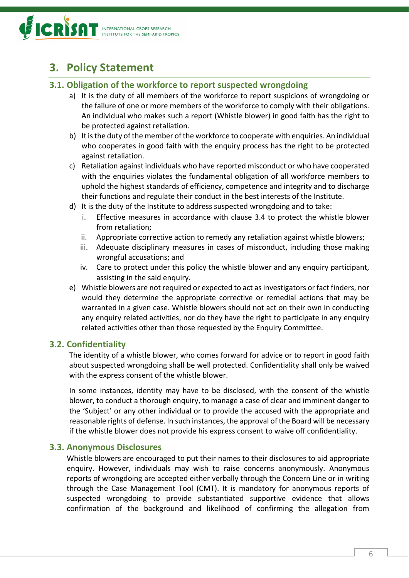

# <span id="page-6-0"></span>**3. Policy Statement**

#### <span id="page-6-1"></span>**3.1. Obligation of the workforce to report suspected wrongdoing**

- a) It is the duty of all members of the workforce to report suspicions of wrongdoing or the failure of one or more members of the workforce to comply with their obligations. An individual who makes such a report (Whistle blower) in good faith has the right to be protected against retaliation.
- b) It is the duty of the member of the workforce to cooperate with enquiries. An individual who cooperates in good faith with the enquiry process has the right to be protected against retaliation.
- c) Retaliation against individuals who have reported misconduct or who have cooperated with the enquiries violates the fundamental obligation of all workforce members to uphold the highest standards of efficiency, competence and integrity and to discharge their functions and regulate their conduct in the best interests of the Institute.
- d) It is the duty of the Institute to address suspected wrongdoing and to take:
	- i. Effective measures in accordance with clause 3.4 to protect the whistle blower from retaliation;
	- ii. Appropriate corrective action to remedy any retaliation against whistle blowers;
	- iii. Adequate disciplinary measures in cases of misconduct, including those making wrongful accusations; and
	- iv. Care to protect under this policy the whistle blower and any enquiry participant, assisting in the said enquiry.
- e) Whistle blowers are not required or expected to act as investigators or fact finders, nor would they determine the appropriate corrective or remedial actions that may be warranted in a given case. Whistle blowers should not act on their own in conducting any enquiry related activities, nor do they have the right to participate in any enquiry related activities other than those requested by the Enquiry Committee.

#### <span id="page-6-2"></span>**3.2. Confidentiality**

The identity of a whistle blower, who comes forward for advice or to report in good faith about suspected wrongdoing shall be well protected. Confidentiality shall only be waived with the express consent of the whistle blower.

In some instances, identity may have to be disclosed, with the consent of the whistle blower, to conduct a thorough enquiry, to manage a case of clear and imminent danger to the 'Subject' or any other individual or to provide the accused with the appropriate and reasonable rights of defense. In such instances, the approval of the Board will be necessary if the whistle blower does not provide his express consent to waive off confidentiality.

#### <span id="page-6-3"></span>**3.3. Anonymous Disclosures**

Whistle blowers are encouraged to put their names to their disclosures to aid appropriate enquiry. However, individuals may wish to raise concerns anonymously. Anonymous reports of wrongdoing are accepted either verbally through the Concern Line or in writing through the Case Management Tool (CMT). It is mandatory for anonymous reports of suspected wrongdoing to provide substantiated supportive evidence that allows confirmation of the background and likelihood of confirming the allegation from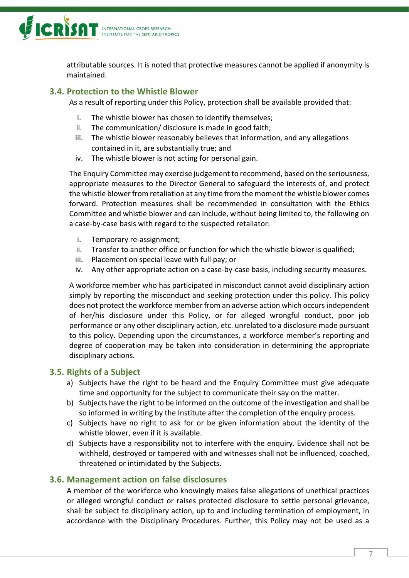

attributable sources. It is noted that protective measures cannot be applied if anonymity is maintained.

#### <span id="page-7-0"></span>**3.4. Protection to the Whistle Blower**

As a result of reporting under this Policy, protection shall be available provided that:

- i. The whistle blower has chosen to identify themselves;
- ii. The communication/ disclosure is made in good faith;
- iii. The whistle blower reasonably believes that information, and any allegations contained in it, are substantially true; and
- iv. The whistle blower is not acting for personal gain.

The Enquiry Committee may exercise judgement to recommend, based on the seriousness, appropriate measures to the Director General to safeguard the interests of, and protect the whistle blower from retaliation at any time from the moment the whistle blower comes forward. Protection measures shall be recommended in consultation with the Ethics Committee and whistle blower and can include, without being limited to, the following on a case-by-case basis with regard to the suspected retaliator:

- i. Temporary re-assignment;
- ii. Transfer to another office or function for which the whistle blower is qualified;
- iii. Placement on special leave with full pay; or
- iv. Any other appropriate action on a case-by-case basis, including security measures.

A workforce member who has participated in misconduct cannot avoid disciplinary action simply by reporting the misconduct and seeking protection under this policy. This policy does not protect the workforce member from an adverse action which occurs independent of her/his disclosure under this Policy, or for alleged wrongful conduct, poor job performance or any other disciplinary action, etc. unrelated to a disclosure made pursuant to this policy. Depending upon the circumstances, a workforce member's reporting and degree of cooperation may be taken into consideration in determining the appropriate disciplinary actions.

#### <span id="page-7-1"></span>**3.5. Rights of a Subject**

- a) Subjects have the right to be heard and the Enquiry Committee must give adequate time and opportunity for the subject to communicate their say on the matter.
- b) Subjects have the right to be informed on the outcome of the investigation and shall be so informed in writing by the Institute after the completion of the enquiry process.
- c) Subjects have no right to ask for or be given information about the identity of the whistle blower, even if it is available.
- d) Subjects have a responsibility not to interfere with the enquiry. Evidence shall not be withheld, destroyed or tampered with and witnesses shall not be influenced, coached, threatened or intimidated by the Subjects.

#### <span id="page-7-2"></span>**3.6. Management action on false disclosures**

A member of the workforce who knowingly makes false allegations of unethical practices or alleged wrongful conduct or raises protected disclosure to settle personal grievance, shall be subject to disciplinary action, up to and including termination of employment, in accordance with the Disciplinary Procedures. Further, this Policy may not be used as a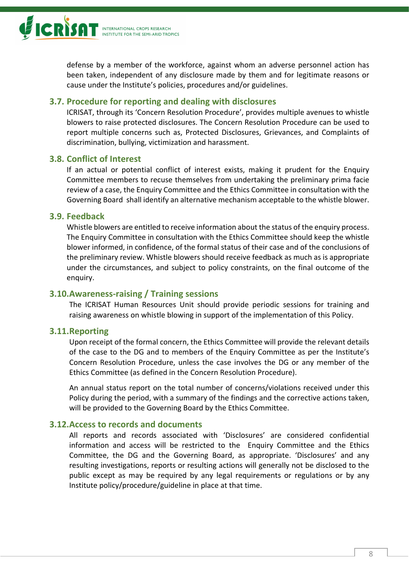

defense by a member of the workforce, against whom an adverse personnel action has been taken, independent of any disclosure made by them and for legitimate reasons or cause under the Institute's policies, procedures and/or guidelines.

#### <span id="page-8-0"></span>**3.7. Procedure for reporting and dealing with disclosures**

ICRISAT, through its 'Concern Resolution Procedure', provides multiple avenues to whistle blowers to raise protected disclosures. The Concern Resolution Procedure can be used to report multiple concerns such as, Protected Disclosures, Grievances, and Complaints of discrimination, bullying, victimization and harassment.

#### <span id="page-8-1"></span>**3.8. Conflict of Interest**

If an actual or potential conflict of interest exists, making it prudent for the Enquiry Committee members to recuse themselves from undertaking the preliminary prima facie review of a case, the Enquiry Committee and the Ethics Committee in consultation with the Governing Board shall identify an alternative mechanism acceptable to the whistle blower.

#### <span id="page-8-2"></span>**3.9. Feedback**

Whistle blowers are entitled to receive information about the status of the enquiry process. The Enquiry Committee in consultation with the Ethics Committee should keep the whistle blower informed, in confidence, of the formal status of their case and of the conclusions of the preliminary review. Whistle blowers should receive feedback as much as is appropriate under the circumstances, and subject to policy constraints, on the final outcome of the enquiry.

#### <span id="page-8-3"></span>**3.10.Awareness-raising / Training sessions**

The ICRISAT Human Resources Unit should provide periodic sessions for training and raising awareness on whistle blowing in support of the implementation of this Policy.

#### <span id="page-8-4"></span>**3.11.Reporting**

Upon receipt of the formal concern, the Ethics Committee will provide the relevant details of the case to the DG and to members of the Enquiry Committee as per the Institute's Concern Resolution Procedure, unless the case involves the DG or any member of the Ethics Committee (as defined in the Concern Resolution Procedure).

An annual status report on the total number of concerns/violations received under this Policy during the period, with a summary of the findings and the corrective actions taken, will be provided to the Governing Board by the Ethics Committee.

#### <span id="page-8-5"></span>**3.12.Access to records and documents**

All reports and records associated with 'Disclosures' are considered confidential information and access will be restricted to the Enquiry Committee and the Ethics Committee, the DG and the Governing Board, as appropriate. 'Disclosures' and any resulting investigations, reports or resulting actions will generally not be disclosed to the public except as may be required by any legal requirements or regulations or by any Institute policy/procedure/guideline in place at that time.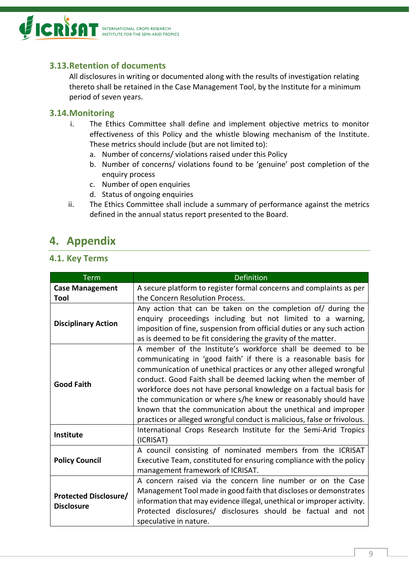

## <span id="page-9-0"></span>**3.13.Retention of documents**

All disclosures in writing or documented along with the results of investigation relating thereto shall be retained in the Case Management Tool, by the Institute for a minimum period of seven years.

#### <span id="page-9-1"></span>**3.14.Monitoring**

- i. The Ethics Committee shall define and implement objective metrics to monitor effectiveness of this Policy and the whistle blowing mechanism of the Institute. These metrics should include (but are not limited to):
	- a. Number of concerns/ violations raised under this Policy
	- b. Number of concerns/ violations found to be 'genuine' post completion of the enquiry process
	- c. Number of open enquiries
	- d. Status of ongoing enquiries
- ii. The Ethics Committee shall include a summary of performance against the metrics defined in the annual status report presented to the Board.

# <span id="page-9-2"></span>**4. Appendix**

#### <span id="page-9-3"></span>**4.1. Key Terms**

| <b>Term</b>                                       | <b>Definition</b>                                                                                                                                                                                                                                                                                                                                                                                                                                                                                                                                          |
|---------------------------------------------------|------------------------------------------------------------------------------------------------------------------------------------------------------------------------------------------------------------------------------------------------------------------------------------------------------------------------------------------------------------------------------------------------------------------------------------------------------------------------------------------------------------------------------------------------------------|
| <b>Case Management</b>                            | A secure platform to register formal concerns and complaints as per                                                                                                                                                                                                                                                                                                                                                                                                                                                                                        |
| Tool                                              | the Concern Resolution Process.                                                                                                                                                                                                                                                                                                                                                                                                                                                                                                                            |
| <b>Disciplinary Action</b>                        | Any action that can be taken on the completion of/ during the<br>enquiry proceedings including but not limited to a warning,<br>imposition of fine, suspension from official duties or any such action<br>as is deemed to be fit considering the gravity of the matter.                                                                                                                                                                                                                                                                                    |
| <b>Good Faith</b>                                 | A member of the Institute's workforce shall be deemed to be<br>communicating in 'good faith' if there is a reasonable basis for<br>communication of unethical practices or any other alleged wrongful<br>conduct. Good Faith shall be deemed lacking when the member of<br>workforce does not have personal knowledge on a factual basis for<br>the communication or where s/he knew or reasonably should have<br>known that the communication about the unethical and improper<br>practices or alleged wrongful conduct is malicious, false or frivolous. |
| <b>Institute</b>                                  | International Crops Research Institute for the Semi-Arid Tropics<br>(ICRISAT)                                                                                                                                                                                                                                                                                                                                                                                                                                                                              |
| <b>Policy Council</b>                             | A council consisting of nominated members from the ICRISAT<br>Executive Team, constituted for ensuring compliance with the policy<br>management framework of ICRISAT.                                                                                                                                                                                                                                                                                                                                                                                      |
| <b>Protected Disclosure/</b><br><b>Disclosure</b> | A concern raised via the concern line number or on the Case<br>Management Tool made in good faith that discloses or demonstrates<br>information that may evidence illegal, unethical or improper activity.<br>Protected disclosures/ disclosures should be factual and not<br>speculative in nature.                                                                                                                                                                                                                                                       |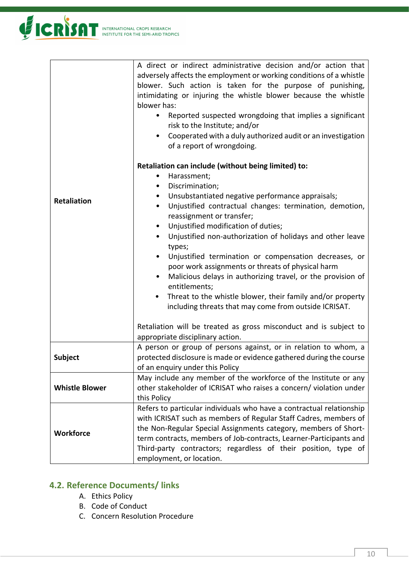

| <b>Retaliation</b>    | A direct or indirect administrative decision and/or action that<br>adversely affects the employment or working conditions of a whistle<br>blower. Such action is taken for the purpose of punishing,<br>intimidating or injuring the whistle blower because the whistle<br>blower has:<br>Reported suspected wrongdoing that implies a significant<br>risk to the Institute; and/or<br>Cooperated with a duly authorized audit or an investigation<br>of a report of wrongdoing.<br>Retaliation can include (without being limited) to:<br>Harassment;<br>٠<br>Discrimination;<br>٠<br>Unsubstantiated negative performance appraisals;<br>$\bullet$<br>Unjustified contractual changes: termination, demotion,<br>$\bullet$<br>reassignment or transfer;<br>Unjustified modification of duties;<br>$\bullet$ |
|-----------------------|---------------------------------------------------------------------------------------------------------------------------------------------------------------------------------------------------------------------------------------------------------------------------------------------------------------------------------------------------------------------------------------------------------------------------------------------------------------------------------------------------------------------------------------------------------------------------------------------------------------------------------------------------------------------------------------------------------------------------------------------------------------------------------------------------------------|
|                       | Unjustified non-authorization of holidays and other leave<br>٠<br>types;                                                                                                                                                                                                                                                                                                                                                                                                                                                                                                                                                                                                                                                                                                                                      |
|                       | Unjustified termination or compensation decreases, or<br>٠<br>poor work assignments or threats of physical harm                                                                                                                                                                                                                                                                                                                                                                                                                                                                                                                                                                                                                                                                                               |
|                       | Malicious delays in authorizing travel, or the provision of<br>$\bullet$<br>entitlements;                                                                                                                                                                                                                                                                                                                                                                                                                                                                                                                                                                                                                                                                                                                     |
|                       | Threat to the whistle blower, their family and/or property<br>٠<br>including threats that may come from outside ICRISAT.                                                                                                                                                                                                                                                                                                                                                                                                                                                                                                                                                                                                                                                                                      |
|                       | Retaliation will be treated as gross misconduct and is subject to<br>appropriate disciplinary action.                                                                                                                                                                                                                                                                                                                                                                                                                                                                                                                                                                                                                                                                                                         |
| Subject               | A person or group of persons against, or in relation to whom, a<br>protected disclosure is made or evidence gathered during the course                                                                                                                                                                                                                                                                                                                                                                                                                                                                                                                                                                                                                                                                        |
|                       | of an enquiry under this Policy                                                                                                                                                                                                                                                                                                                                                                                                                                                                                                                                                                                                                                                                                                                                                                               |
| <b>Whistle Blower</b> | May include any member of the workforce of the Institute or any<br>other stakeholder of ICRISAT who raises a concern/ violation under                                                                                                                                                                                                                                                                                                                                                                                                                                                                                                                                                                                                                                                                         |
|                       | this Policy                                                                                                                                                                                                                                                                                                                                                                                                                                                                                                                                                                                                                                                                                                                                                                                                   |
|                       | Refers to particular individuals who have a contractual relationship<br>with ICRISAT such as members of Regular Staff Cadres, members of                                                                                                                                                                                                                                                                                                                                                                                                                                                                                                                                                                                                                                                                      |
| <b>Workforce</b>      | the Non-Regular Special Assignments category, members of Short-                                                                                                                                                                                                                                                                                                                                                                                                                                                                                                                                                                                                                                                                                                                                               |
|                       | term contracts, members of Job-contracts, Learner-Participants and                                                                                                                                                                                                                                                                                                                                                                                                                                                                                                                                                                                                                                                                                                                                            |
|                       | Third-party contractors; regardless of their position, type of<br>employment, or location.                                                                                                                                                                                                                                                                                                                                                                                                                                                                                                                                                                                                                                                                                                                    |
|                       |                                                                                                                                                                                                                                                                                                                                                                                                                                                                                                                                                                                                                                                                                                                                                                                                               |

## <span id="page-10-0"></span>**4.2. Reference Documents/ links**

- A. Ethics Policy
- B. Code of Conduct
- C. Concern Resolution Procedure